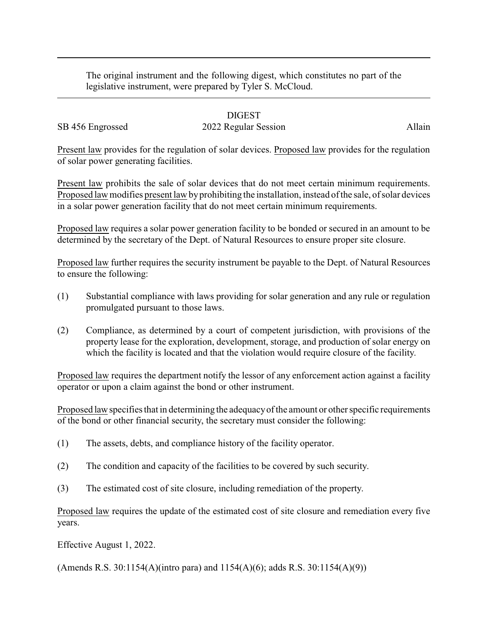The original instrument and the following digest, which constitutes no part of the legislative instrument, were prepared by Tyler S. McCloud.

## DIGEST

## SB 456 Engrossed 2022 Regular Session Allain

Present law provides for the regulation of solar devices. Proposed law provides for the regulation of solar power generating facilities.

Present law prohibits the sale of solar devices that do not meet certain minimum requirements. Proposed law modifies present law by prohibiting the installation, instead of the sale, of solar devices in a solar power generation facility that do not meet certain minimum requirements.

Proposed law requires a solar power generation facility to be bonded or secured in an amount to be determined by the secretary of the Dept. of Natural Resources to ensure proper site closure.

Proposed law further requires the security instrument be payable to the Dept. of Natural Resources to ensure the following:

- (1) Substantial compliance with laws providing for solar generation and any rule or regulation promulgated pursuant to those laws.
- (2) Compliance, as determined by a court of competent jurisdiction, with provisions of the property lease for the exploration, development, storage, and production of solar energy on which the facility is located and that the violation would require closure of the facility.

Proposed law requires the department notify the lessor of any enforcement action against a facility operator or upon a claim against the bond or other instrument.

Proposed lawspecifies that in determining the adequacyof the amount or other specific requirements of the bond or other financial security, the secretary must consider the following:

- (1) The assets, debts, and compliance history of the facility operator.
- (2) The condition and capacity of the facilities to be covered by such security.
- (3) The estimated cost of site closure, including remediation of the property.

Proposed law requires the update of the estimated cost of site closure and remediation every five years.

Effective August 1, 2022.

(Amends R.S. 30:1154(A)(intro para) and  $1154(A)(6)$ ; adds R.S. 30:1154(A)(9))